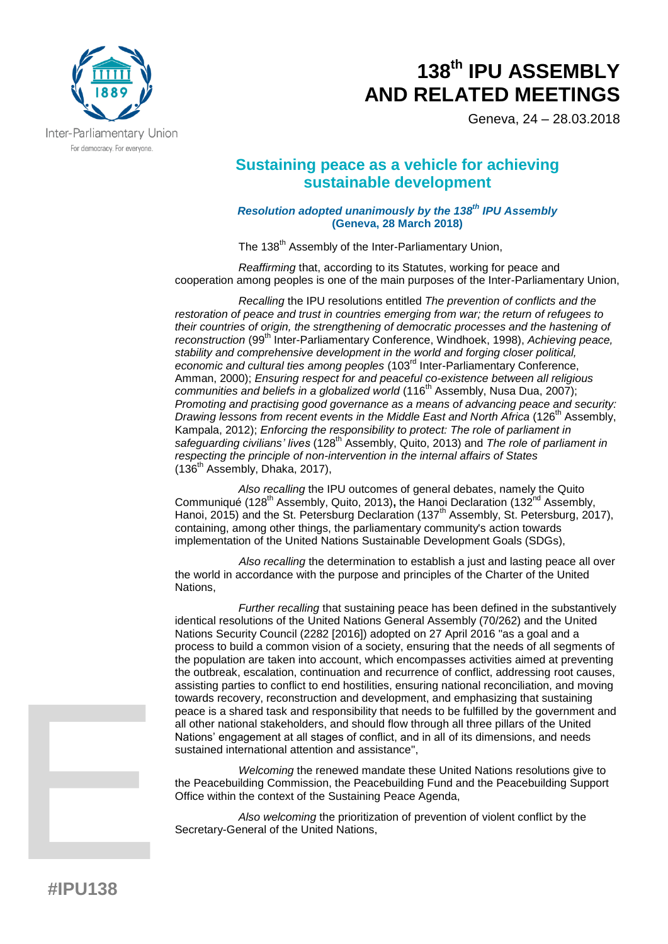

Geneva, 24 – 28.03.2018

## **Sustaining peace as a vehicle for achieving sustainable development**

*Resolution adopted unanimously by the 138th IPU Assembly* **(Geneva, 28 March 2018)**

The 138<sup>th</sup> Assembly of the Inter-Parliamentary Union,

*Reaffirming* that, according to its Statutes, working for peace and cooperation among peoples is one of the main purposes of the Inter-Parliamentary Union,

*Recalling* the IPU resolutions entitled *The prevention of conflicts and the restoration of peace and trust in countries emerging from war; the return of refugees to their countries of origin, the strengthening of democratic processes and the hastening of reconstruction* (99th Inter-Parliamentary Conference, Windhoek, 1998), *Achieving peace, stability and comprehensive development in the world and forging closer political, economic and cultural ties among peoples* (103rd Inter-Parliamentary Conference, Amman, 2000); *Ensuring respect for and peaceful co-existence between all religious communities and beliefs in a globalized world* (116<sup>th</sup> Assembly, Nusa Dua, 2007); *Promoting and practising good governance as a means of advancing peace and security: Drawing lessons from recent events in the Middle East and North Africa* (126<sup>th</sup> Assembly, Kampala, 2012); *Enforcing the responsibility to protect: The role of parliament in safeguarding civilians' lives* (128th Assembly, Quito, 2013) and *The role of parliament in respecting the principle of non-intervention in the internal affairs of States*  $(136<sup>th</sup>$  Assembly, Dhaka, 2017),

*Also recalling* the IPU outcomes of general debates, namely the [Quito](http://archive.ipu.org/conf-e/128/quito-comm.htm)  [Communiqué](http://archive.ipu.org/conf-e/128/quito-comm.htm) (128<sup>th</sup> Assembly, Quito, 2013), the [Hanoi Declaration](http://archive.ipu.org/conf-e/132/Rpt-gendebate.htm) (132<sup>nd</sup> Assembly, Hanoi, 2015) and the St. Petersburg Declaration (137<sup>th</sup> Assembly, St. Petersburg, 2017), containing, among other things, the parliamentary community's action towards implementation of the United Nations Sustainable Development Goals (SDGs),

*Also recalling* the determination to establish a just and lasting peace all over the world in accordance with the purpose and principles of the Charter of the United Nations,

*Further recalling* that sustaining peace has been defined in the substantively identical resolutions of the United Nations General Assembly (70/262) and the United Nations Security Council (2282 [2016]) adopted on 27 April 2016 "as a goal and a process to build a common vision of a society, ensuring that the needs of all segments of the population are taken into account, which encompasses activities aimed at preventing the outbreak, escalation, continuation and recurrence of conflict, addressing root causes, assisting parties to conflict to end hostilities, ensuring national reconciliation, and moving towards recovery, reconstruction and development, and emphasizing that sustaining peace is a shared task and responsibility that needs to be fulfilled by the government and all other national stakeholders, and should flow through all three pillars of the United Nations' engagement at all stages of conflict, and in all of its dimensions, and needs sustained international attention and assistance",

*Welcoming* the renewed mandate these United Nations resolutions give to the Peacebuilding Commission, the Peacebuilding Fund and the Peacebuilding Support Office within the context of the Sustaining Peace Agenda,

*Also welcoming* the prioritization of prevention of violent conflict by the Secretary-General of the United Nations,

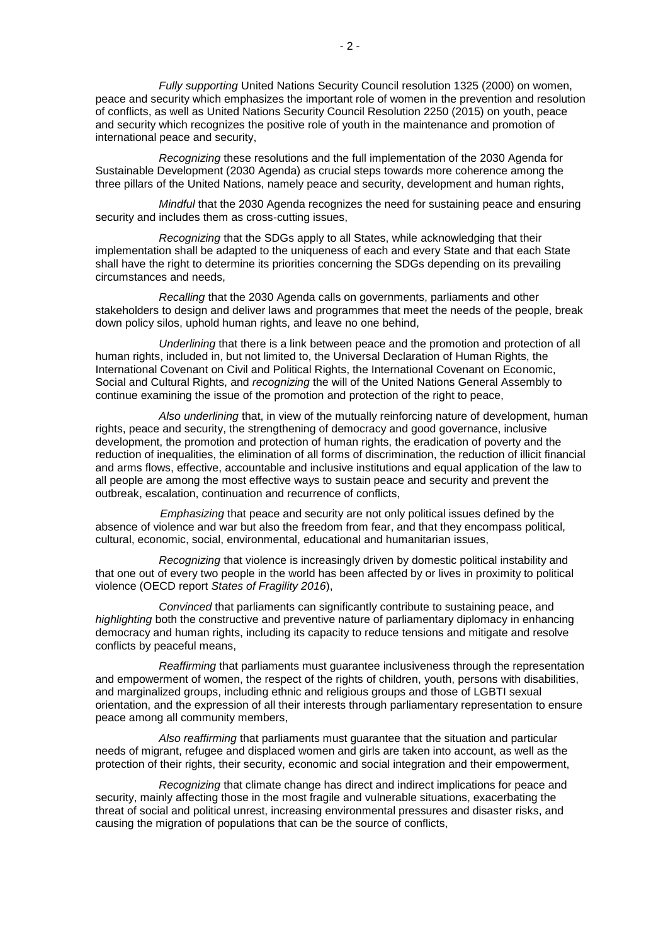*Fully supporting* United Nations Security Council resolution 1325 (2000) on women, peace and security which emphasizes the important role of women in the prevention and resolution of conflicts, as well as United Nations Security Council Resolution 2250 (2015) on youth, peace and security which recognizes the positive role of youth in the maintenance and promotion of international peace and security,

*Recognizing* these resolutions and the full implementation of the 2030 Agenda for Sustainable Development (2030 Agenda) as crucial steps towards more coherence among the three pillars of the United Nations, namely peace and security, development and human rights,

*Mindful* that the 2030 Agenda recognizes the need for sustaining peace and ensuring security and includes them as cross-cutting issues,

*Recognizing* that the SDGs apply to all States, while acknowledging that their implementation shall be adapted to the uniqueness of each and every State and that each State shall have the right to determine its priorities concerning the SDGs depending on its prevailing circumstances and needs,

*Recalling* that the 2030 Agenda calls on governments, parliaments and other stakeholders to design and deliver laws and programmes that meet the needs of the people, break down policy silos, uphold human rights, and leave no one behind,

*Underlining* that there is a link between peace and the promotion and protection of all human rights, included in, but not limited to, the Universal Declaration of Human Rights, the International Covenant on Civil and Political Rights, the International Covenant on Economic, Social and Cultural Rights, and *recognizing* the will of the United Nations General Assembly to continue examining the issue of the promotion and protection of the right to peace,

*Also underlining* that, in view of the mutually reinforcing nature of development, human rights, peace and security, the strengthening of democracy and good governance, inclusive development, the promotion and protection of human rights, the eradication of poverty and the reduction of inequalities, the elimination of all forms of discrimination, the reduction of illicit financial and arms flows, effective, accountable and inclusive institutions and equal application of the law to all people are among the most effective ways to sustain peace and security and prevent the outbreak, escalation, continuation and recurrence of conflicts,

*Emphasizing* that peace and security are not only political issues defined by the absence of violence and war but also the freedom from fear, and that they encompass political, cultural, economic, social, environmental, educational and humanitarian issues,

*Recognizing* that violence is increasingly driven by domestic political instability and that one out of every two people in the world has been affected by or lives in proximity to political violence (OECD report *States of Fragility 2016*),

*Convinced* that parliaments can significantly contribute to sustaining peace, and *highlighting* both the constructive and preventive nature of parliamentary diplomacy in enhancing democracy and human rights, including its capacity to reduce tensions and mitigate and resolve conflicts by peaceful means,

*Reaffirming* that parliaments must guarantee inclusiveness through the representation and empowerment of women, the respect of the rights of children, youth, persons with disabilities, and marginalized groups, including ethnic and religious groups and those of LGBTI sexual orientation, and the expression of all their interests through parliamentary representation to ensure peace among all community members,

*Also reaffirming* that parliaments must guarantee that the situation and particular needs of migrant, refugee and displaced women and girls are taken into account, as well as the protection of their rights, their security, economic and social integration and their empowerment,

*Recognizing* that climate change has direct and indirect implications for peace and security, mainly affecting those in the most fragile and vulnerable situations, exacerbating the threat of social and political unrest, increasing environmental pressures and disaster risks, and causing the migration of populations that can be the source of conflicts,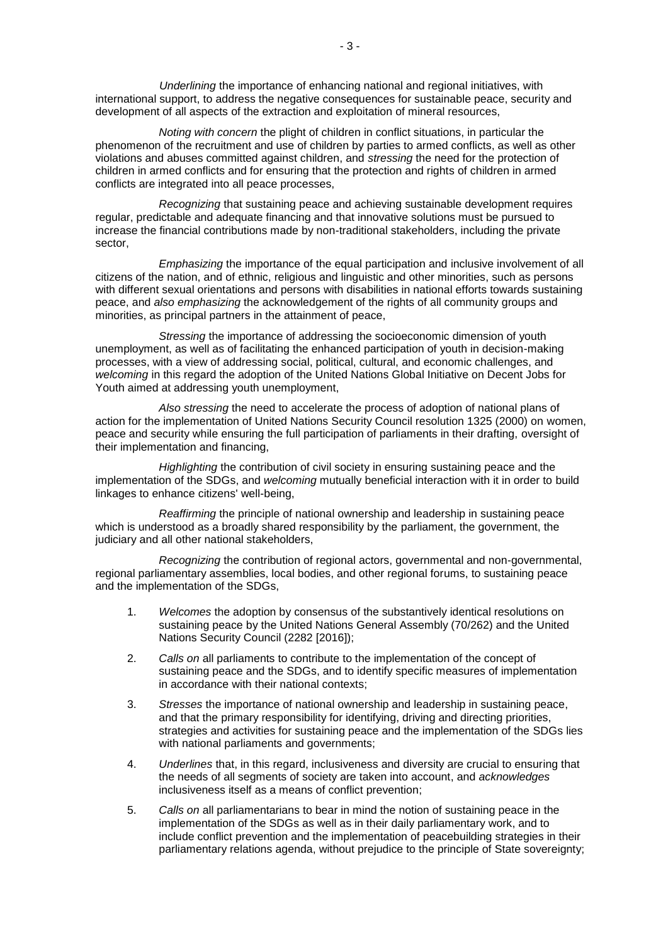*Underlining* the importance of enhancing national and regional initiatives, with international support, to address the negative consequences for sustainable peace, security and development of all aspects of the extraction and exploitation of mineral resources,

*Noting with concern* the plight of children in conflict situations, in particular the phenomenon of the recruitment and use of children by parties to armed conflicts, as well as other violations and abuses committed against children, and *stressing* the need for the protection of children in armed conflicts and for ensuring that the protection and rights of children in armed conflicts are integrated into all peace processes,

*Recognizing* that sustaining peace and achieving sustainable development requires regular, predictable and adequate financing and that innovative solutions must be pursued to increase the financial contributions made by non-traditional stakeholders, including the private sector,

*Emphasizing* the importance of the equal participation and inclusive involvement of all citizens of the nation, and of ethnic, religious and linguistic and other minorities, such as persons with different sexual orientations and persons with disabilities in national efforts towards sustaining peace, and *also emphasizing* the acknowledgement of the rights of all community groups and minorities, as principal partners in the attainment of peace,

*Stressing* the importance of addressing the socioeconomic dimension of youth unemployment, as well as of facilitating the enhanced participation of youth in decision-making processes, with a view of addressing social, political, cultural, and economic challenges, and *welcoming* in this regard the adoption of the United Nations Global Initiative on Decent Jobs for Youth aimed at addressing youth unemployment,

*Also stressing* the need to accelerate the process of adoption of national plans of action for the implementation of United Nations Security Council resolution 1325 (2000) on women, peace and security while ensuring the full participation of parliaments in their drafting, oversight of their implementation and financing,

*Highlighting* the contribution of civil society in ensuring sustaining peace and the implementation of the SDGs, and *welcoming* mutually beneficial interaction with it in order to build linkages to enhance citizens' well-being,

*Reaffirming* the principle of national ownership and leadership in sustaining peace which is understood as a broadly shared responsibility by the parliament, the government, the judiciary and all other national stakeholders,

*Recognizing* the contribution of regional actors, governmental and non-governmental, regional parliamentary assemblies, local bodies, and other regional forums, to sustaining peace and the implementation of the SDGs,

- 1. *Welcomes* the adoption by consensus of the substantively identical resolutions on sustaining peace by the United Nations General Assembly (70/262) and the United Nations Security Council (2282 [2016]);
- 2. *Calls on* all parliaments to contribute to the implementation of the concept of sustaining peace and the SDGs, and to identify specific measures of implementation in accordance with their national contexts;
- 3. *Stresses* the importance of national ownership and leadership in sustaining peace, and that the primary responsibility for identifying, driving and directing priorities, strategies and activities for sustaining peace and the implementation of the SDGs lies with national parliaments and governments;
- 4. *Underlines* that, in this regard, inclusiveness and diversity are crucial to ensuring that the needs of all segments of society are taken into account, and *acknowledges* inclusiveness itself as a means of conflict prevention;
- 5. *Calls on* all parliamentarians to bear in mind the notion of sustaining peace in the implementation of the SDGs as well as in their daily parliamentary work, and to include conflict prevention and the implementation of peacebuilding strategies in their parliamentary relations agenda, without prejudice to the principle of State sovereignty;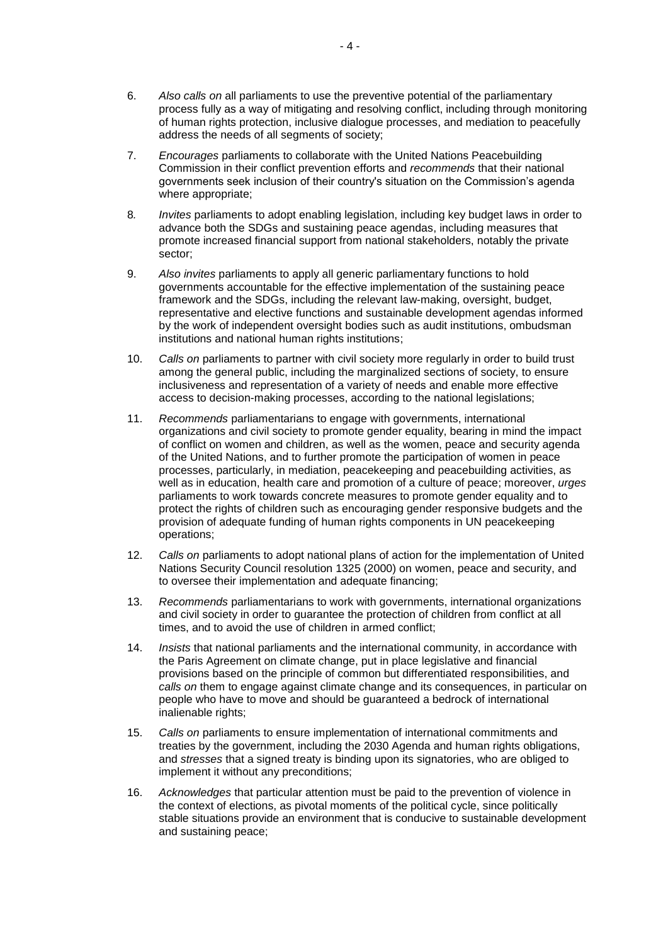- 6. *Also calls on* all parliaments to use the preventive potential of the parliamentary process fully as a way of mitigating and resolving conflict, including through monitoring of human rights protection, inclusive dialogue processes, and mediation to peacefully address the needs of all segments of society;
- 7. *Encourages* parliaments to collaborate with the United Nations Peacebuilding Commission in their conflict prevention efforts and *recommends* that their national governments seek inclusion of their country's situation on the Commission's agenda where appropriate;
- 8*. Invites* parliaments to adopt enabling legislation, including key budget laws in order to advance both the SDGs and sustaining peace agendas, including measures that promote increased financial support from national stakeholders, notably the private sector;
- 9. *Also invites* parliaments to apply all generic parliamentary functions to hold governments accountable for the effective implementation of the sustaining peace framework and the SDGs, including the relevant law-making, oversight, budget, representative and elective functions and sustainable development agendas informed by the work of independent oversight bodies such as audit institutions, ombudsman institutions and national human rights institutions;
- 10. *Calls on* parliaments to partner with civil society more regularly in order to build trust among the general public, including the marginalized sections of society, to ensure inclusiveness and representation of a variety of needs and enable more effective access to decision-making processes, according to the national legislations;
- 11. *Recommends* parliamentarians to engage with governments, international organizations and civil society to promote gender equality, bearing in mind the impact of conflict on women and children, as well as the women, peace and security agenda of the United Nations, and to further promote the participation of women in peace processes, particularly, in mediation, peacekeeping and peacebuilding activities, as well as in education, health care and promotion of a culture of peace; moreover, *urges* parliaments to work towards concrete measures to promote gender equality and to protect the rights of children such as encouraging gender responsive budgets and the provision of adequate funding of human rights components in UN peacekeeping operations;
- 12. *Calls on* parliaments to adopt national plans of action for the implementation of United Nations Security Council resolution 1325 (2000) on women, peace and security, and to oversee their implementation and adequate financing;
- 13. *Recommends* parliamentarians to work with governments, international organizations and civil society in order to guarantee the protection of children from conflict at all times, and to avoid the use of children in armed conflict;
- 14. *Insists* that national parliaments and the international community, in accordance with the Paris Agreement on climate change, put in place legislative and financial provisions based on the principle of common but differentiated responsibilities, and *calls on* them to engage against climate change and its consequences, in particular on people who have to move and should be guaranteed a bedrock of international inalienable rights;
- 15. *Calls on* parliaments to ensure implementation of international commitments and treaties by the government, including the 2030 Agenda and human rights obligations, and *stresses* that a signed treaty is binding upon its signatories, who are obliged to implement it without any preconditions;
- 16. *Acknowledges* that particular attention must be paid to the prevention of violence in the context of elections, as pivotal moments of the political cycle, since politically stable situations provide an environment that is conducive to sustainable development and sustaining peace;